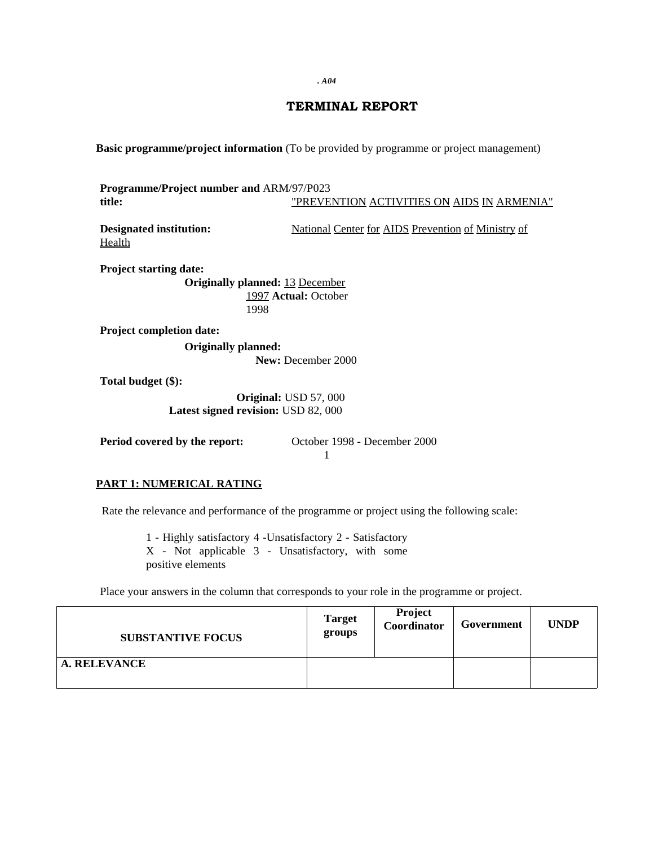*. A04*

# **TERMINAL REPORT**

**Basic programme/project information** (To be provided by programme or project management)

**Programme/Project number and** ARM/97/P023 **title:** "PREVENTION ACTIVITIES ON AIDS IN ARMENIA"

Health

**Designated institution:** National Center for AIDS Prevention of Ministry of

**Project starting date: Originally planned:** 13 December 1997 **Actual:** October

1998

**Project completion date:**

**Originally planned:**

**New:** December 2000

**Total budget (\$):**

**Original:** USD 57, 000 **Latest signed revision:** USD 82, 000

**Period covered by the report:** October 1998 - December 2000 1

## **PART 1: NUMERICAL RATING**

Rate the relevance and performance of the programme or project using the following scale:

1 - Highly satisfactory 4 -Unsatisfactory 2 - Satisfactory X - Not applicable 3 - Unsatisfactory, with some positive elements

Place your answers in the column that corresponds to your role in the programme or project.

| <b>SUBSTANTIVE FOCUS</b> | <b>Target</b><br>groups | <b>Project</b><br>Coordinator | Government | <b>UNDP</b> |
|--------------------------|-------------------------|-------------------------------|------------|-------------|
| <b>A. RELEVANCE</b>      |                         |                               |            |             |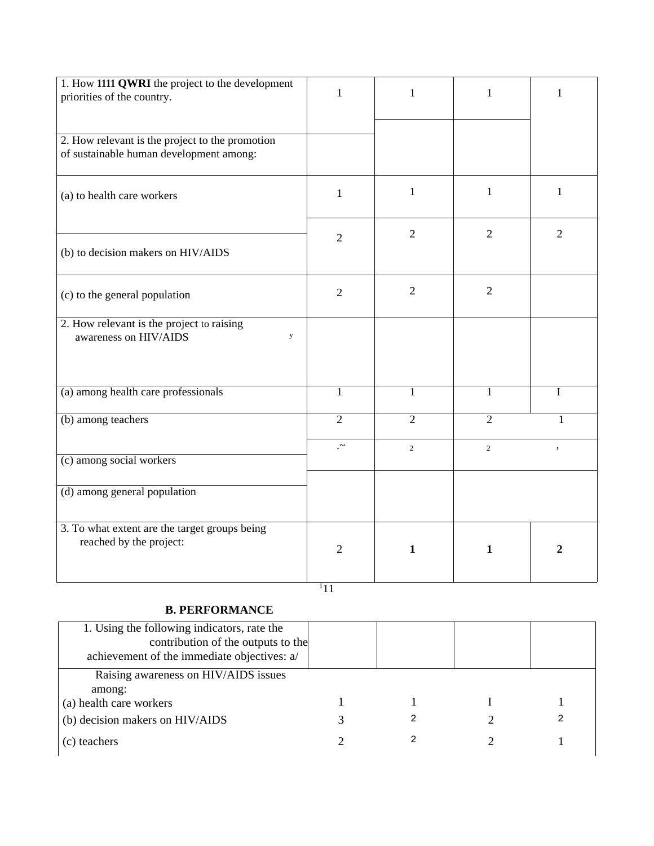| 1. How 1111 QWRI the project to the development                                            | $\mathbf{1}$   | $\mathbf{1}$   | 1              | 1              |
|--------------------------------------------------------------------------------------------|----------------|----------------|----------------|----------------|
| priorities of the country.                                                                 |                |                |                |                |
|                                                                                            |                |                |                |                |
| 2. How relevant is the project to the promotion<br>of sustainable human development among: |                |                |                |                |
|                                                                                            |                |                |                |                |
| (a) to health care workers                                                                 | $\mathbf{1}$   | $\mathbf{1}$   | $\mathbf{1}$   | $\mathbf{1}$   |
|                                                                                            |                |                |                |                |
|                                                                                            | $\overline{2}$ | $\overline{2}$ | $\overline{2}$ | $\overline{2}$ |
| (b) to decision makers on HIV/AIDS                                                         |                |                |                |                |
|                                                                                            |                |                |                |                |
| (c) to the general population                                                              | $\overline{2}$ | $\overline{2}$ | $\overline{2}$ |                |
|                                                                                            |                |                |                |                |
| 2. How relevant is the project to raising<br>awareness on HIV/AIDS<br>y                    |                |                |                |                |
|                                                                                            |                |                |                |                |
|                                                                                            |                |                |                |                |
| (a) among health care professionals                                                        | $\mathbf{1}$   | $\mathbf{1}$   | $\mathbf{1}$   | $\mathbf I$    |
| (b) among teachers                                                                         | $\overline{2}$ | $\overline{2}$ | $\overline{2}$ | $\mathbf{1}$   |
|                                                                                            |                |                |                |                |
| (c) among social workers                                                                   | $\sim$         | $\overline{2}$ | 2              | ,              |
|                                                                                            |                |                |                |                |
| (d) among general population                                                               |                |                |                |                |
|                                                                                            |                |                |                |                |
| 3. To what extent are the target groups being<br>reached by the project:                   |                |                |                |                |
|                                                                                            | $\overline{2}$ | $\mathbf{1}$   | $\mathbf{1}$   | $\overline{2}$ |
|                                                                                            |                |                |                |                |

# <sup>1</sup>11

# **B. PERFORMANCE**

| 1. Using the following indicators, rate the<br>contribution of the outputs to the<br>achievement of the immediate objectives: a/ |  |  |
|----------------------------------------------------------------------------------------------------------------------------------|--|--|
| Raising awareness on HIV/AIDS issues                                                                                             |  |  |
| among:                                                                                                                           |  |  |
| (a) health care workers                                                                                                          |  |  |
| (b) decision makers on HIV/AIDS                                                                                                  |  |  |
| (c) teachers                                                                                                                     |  |  |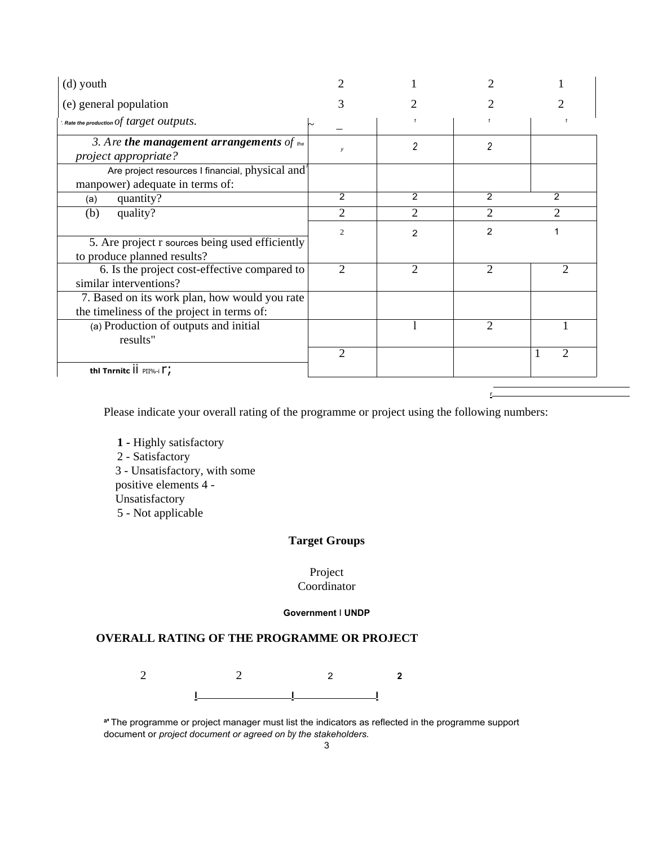| (d) youth                                                                                   |                |                |                |        |
|---------------------------------------------------------------------------------------------|----------------|----------------|----------------|--------|
| (e) general population                                                                      | 3              |                |                |        |
| $\alpha$ . Rate the production $of$ $target$ $outputs.$                                     |                |                |                |        |
| 3. Are the management arrangements of the<br>project appropriate?                           | У              | 2              | $\overline{c}$ |        |
| Are project resources I financial, physical and<br>manpower) adequate in terms of:          |                |                |                |        |
| quantity?<br>(a)                                                                            | 2              | 2              | 2              | 2      |
| (b)<br>quality?                                                                             | 2              | 2              | $\overline{2}$ | 2      |
| 5. Are project r sources being used efficiently<br>to produce planned results?              | $\overline{2}$ | $\overline{2}$ | 2              |        |
| 6. Is the project cost-effective compared to<br>similar interventions?                      | $\overline{c}$ | $\overline{2}$ | $\overline{2}$ | 2      |
| 7. Based on its work plan, how would you rate<br>the timeliness of the project in terms of: |                |                |                |        |
| (a) Production of outputs and initial<br>results"                                           |                |                | $\overline{2}$ |        |
| thi Thrnite $\overline{\mathsf{II}}$ PII%-i $\Gamma$ ;                                      | 2              |                |                | 2<br>1 |

Please indicate your overall rating of the programme or project using the following numbers:

r

**1 -** Highly satisfactory 2 - Satisfactory 3 - Unsatisfactory, with some positive elements 4 - Unsatisfactory 5 - Not applicable

# **Target Groups**

# Project

# Coordinator

#### **Government** I **UNDP**

#### **OVERALL RATING OF THE PROGRAMME OR PROJECT**

2 2 2 **2 I I I**

**a '** The programme or project manager must list the indicators as reflected in the programme support document or *project document or agreed on* by *the stakeholders.*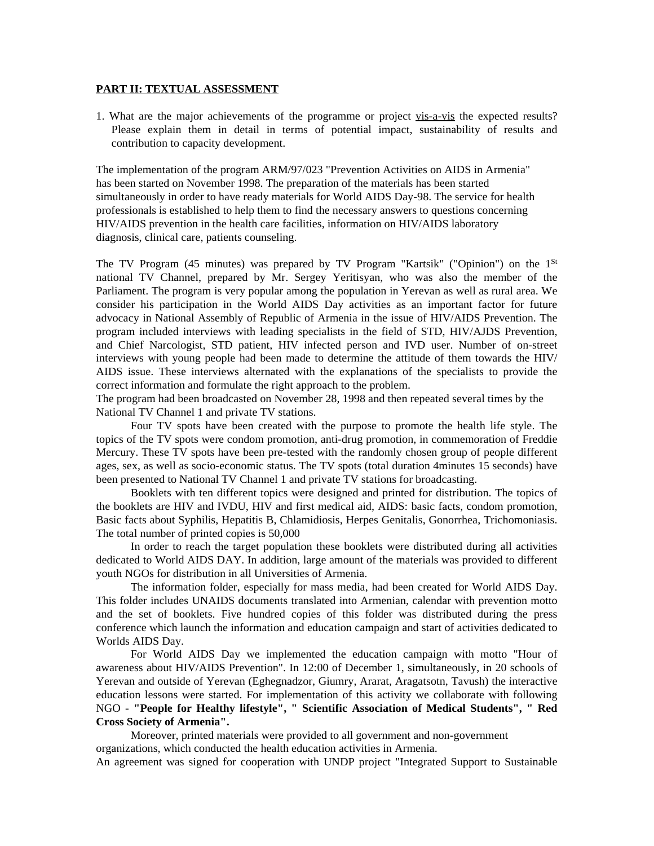#### **PART II: TEXTUAL ASSESSMENT**

1. What are the major achievements of the programme or project vis-a-vis the expected results? Please explain them in detail in terms of potential impact, sustainability of results and contribution to capacity development.

The implementation of the program ARM/97/023 "Prevention Activities on AIDS in Armenia" has been started on November 1998. The preparation of the materials has been started simultaneously in order to have ready materials for World AIDS Day-98. The service for health professionals is established to help them to find the necessary answers to questions concerning HIV/AIDS prevention in the health care facilities, information on HIV/AIDS laboratory diagnosis, clinical care, patients counseling.

The TV Program (45 minutes) was prepared by TV Program "Kartsik" ("Opinion") on the  $1^{St}$ national TV Channel, prepared by Mr. Sergey Yeritisyan, who was also the member of the Parliament. The program is very popular among the population in Yerevan as well as rural area. We consider his participation in the World AIDS Day activities as an important factor for future advocacy in National Assembly of Republic of Armenia in the issue of HIV/AIDS Prevention. The program included interviews with leading specialists in the field of STD, HIV/AJDS Prevention, and Chief Narcologist, STD patient, HIV infected person and IVD user. Number of on-street interviews with young people had been made to determine the attitude of them towards the HIV/ AIDS issue. These interviews alternated with the explanations of the specialists to provide the correct information and formulate the right approach to the problem.

The program had been broadcasted on November 28, 1998 and then repeated several times by the National TV Channel 1 and private TV stations.

Four TV spots have been created with the purpose to promote the health life style. The topics of the TV spots were condom promotion, anti-drug promotion, in commemoration of Freddie Mercury. These TV spots have been pre-tested with the randomly chosen group of people different ages, sex, as well as socio-economic status. The TV spots (total duration 4minutes 15 seconds) have been presented to National TV Channel 1 and private TV stations for broadcasting.

Booklets with ten different topics were designed and printed for distribution. The topics of the booklets are HIV and IVDU, HIV and first medical aid, AIDS: basic facts, condom promotion, Basic facts about Syphilis, Hepatitis B, Chlamidiosis, Herpes Genitalis, Gonorrhea, Trichomoniasis. The total number of printed copies is 50,000

In order to reach the target population these booklets were distributed during all activities dedicated to World AIDS DAY. In addition, large amount of the materials was provided to different youth NGOs for distribution in all Universities of Armenia.

The information folder, especially for mass media, had been created for World AIDS Day. This folder includes UNAIDS documents translated into Armenian, calendar with prevention motto and the set of booklets. Five hundred copies of this folder was distributed during the press conference which launch the information and education campaign and start of activities dedicated to Worlds AIDS Day.

For World AIDS Day we implemented the education campaign with motto "Hour of awareness about HIV/AIDS Prevention". In 12:00 of December 1, simultaneously, in 20 schools of Yerevan and outside of Yerevan (Eghegnadzor, Giumry, Ararat, Aragatsotn, Tavush) the interactive education lessons were started. For implementation of this activity we collaborate with following NGO - **"People for Healthy lifestyle", " Scientific Association of Medical Students", " Red Cross Society of Armenia".**

Moreover, printed materials were provided to all government and non-government organizations, which conducted the health education activities in Armenia.

An agreement was signed for cooperation with UNDP project "Integrated Support to Sustainable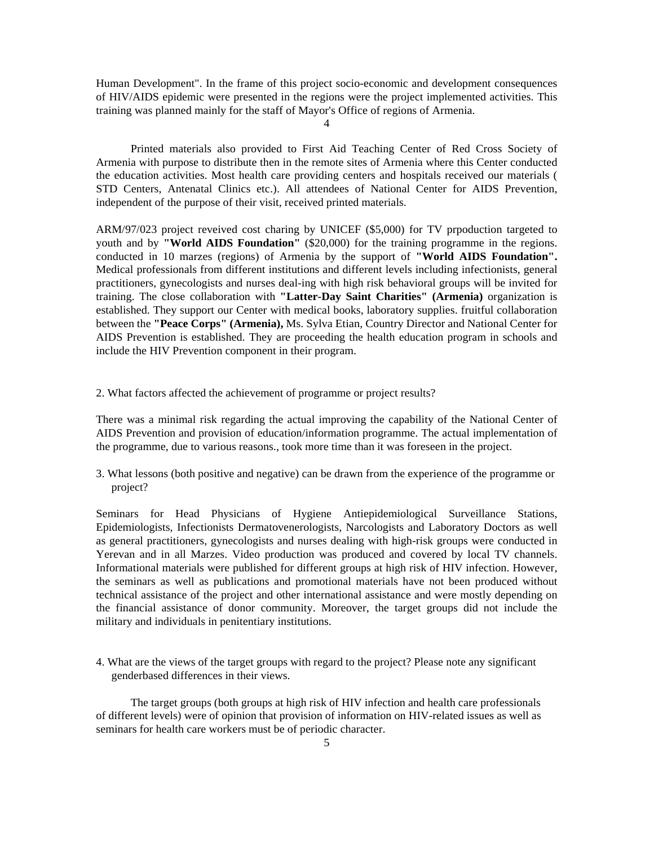Human Development". In the frame of this project socio-economic and development consequences of HIV/AIDS epidemic were presented in the regions were the project implemented activities. This training was planned mainly for the staff of Mayor's Office of regions of Armenia.

4

Printed materials also provided to First Aid Teaching Center of Red Cross Society of Armenia with purpose to distribute then in the remote sites of Armenia where this Center conducted the education activities. Most health care providing centers and hospitals received our materials ( STD Centers, Antenatal Clinics etc.). All attendees of National Center for AIDS Prevention, independent of the purpose of their visit, received printed materials.

ARM/97/023 project reveived cost charing by UNICEF (\$5,000) for TV prpoduction targeted to youth and by **"World AIDS Foundation"** (\$20,000) for the training programme in the regions. conducted in 10 marzes (regions) of Armenia by the support of **"World AIDS Foundation".** Medical professionals from different institutions and different levels including infectionists, general practitioners, gynecologists and nurses deal-ing with high risk behavioral groups will be invited for training. The close collaboration with **"Latter-Day Saint Charities" (Armenia)** organization is established. They support our Center with medical books, laboratory supplies. fruitful collaboration between the **"Peace Corps" (Armenia),** Ms. Sylva Etian, Country Director and National Center for AIDS Prevention is established. They are proceeding the health education program in schools and include the HIV Prevention component in their program.

2. What factors affected the achievement of programme or project results?

There was a minimal risk regarding the actual improving the capability of the National Center of AIDS Prevention and provision of education/information programme. The actual implementation of the programme, due to various reasons., took more time than it was foreseen in the project.

3. What lessons (both positive and negative) can be drawn from the experience of the programme or project?

Seminars for Head Physicians of Hygiene Antiepidemiological Surveillance Stations, Epidemiologists, Infectionists Dermatovenerologists, Narcologists and Laboratory Doctors as well as general practitioners, gynecologists and nurses dealing with high-risk groups were conducted in Yerevan and in all Marzes. Video production was produced and covered by local TV channels. Informational materials were published for different groups at high risk of HIV infection. However, the seminars as well as publications and promotional materials have not been produced without technical assistance of the project and other international assistance and were mostly depending on the financial assistance of donor community. Moreover, the target groups did not include the military and individuals in penitentiary institutions.

4. What are the views of the target groups with regard to the project? Please note any significant genderbased differences in their views.

The target groups (both groups at high risk of HIV infection and health care professionals of different levels) were of opinion that provision of information on HIV-related issues as well as seminars for health care workers must be of periodic character.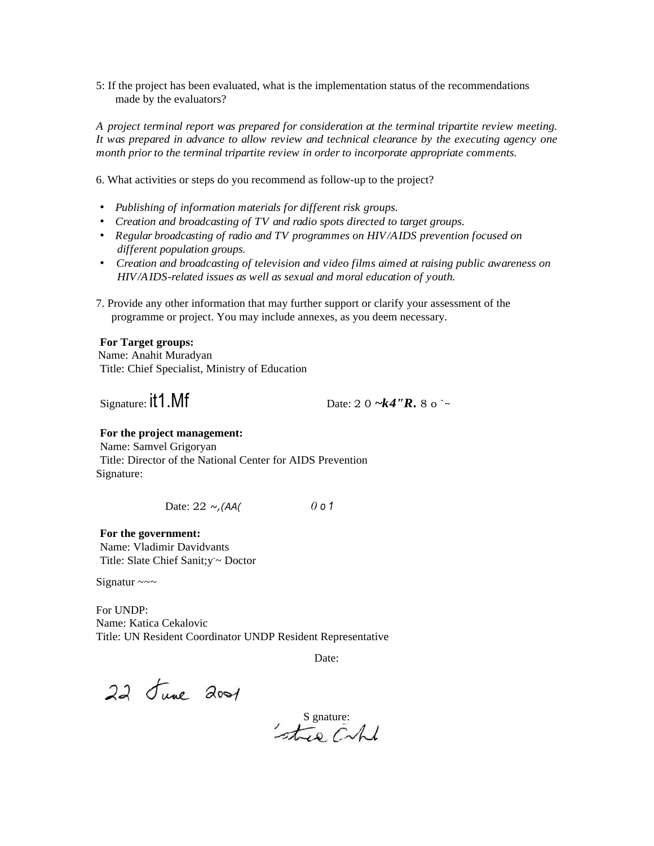5: If the project has been evaluated, what is the implementation status of the recommendations made by the evaluators?

*A project terminal report was prepared for consideration at the terminal tripartite review meeting. It was prepared in advance to allow review and technical clearance by the executing agency one month prior to the terminal tripartite review in order to incorporate appropriate comments.*

6. What activities or steps do you recommend as follow-up to the project?

- *• Publishing of information materials for different risk groups.*
- *• Creation and broadcasting of TV and radio spots directed to target groups.*
- *• Regular broadcasting of radio and TV programmes on HIV/AIDS prevention focused on different population groups.*
- *• Creation and broadcasting of television and video films aimed at raising public awareness on HIV/AIDS-related issues as well as sexual and moral education of youth.*
- 7. Provide any other information that may further support or clarify your assessment of the programme or project. You may include annexes, as you deem necessary.

#### **For Target groups:**

Name: Anahit Muradyan Title: Chief Specialist, Ministry of Education

Signature:  $\text{if } 1 \text{.} \text{Mf}$  Date: 2 0  $\text{-}k4''R$ , 8 o  $\text{-}k$ 

#### **For the project management:**

Name: Samvel Grigoryan Title: Director of the National Center for AIDS Prevention Signature:

Date: 22 *~,(AA( 0 o 1*

**For the government:** Name: Vladimir Davidvants Title: Slate Chief Sanit; y ~ Doctor

Signatur  $\sim\sim$ 

For UNDP: Name: Katica Cekalovic Title: UN Resident Coordinator UNDP Resident Representative

Date:

22 June 2001

S gnature:<br>stree Capel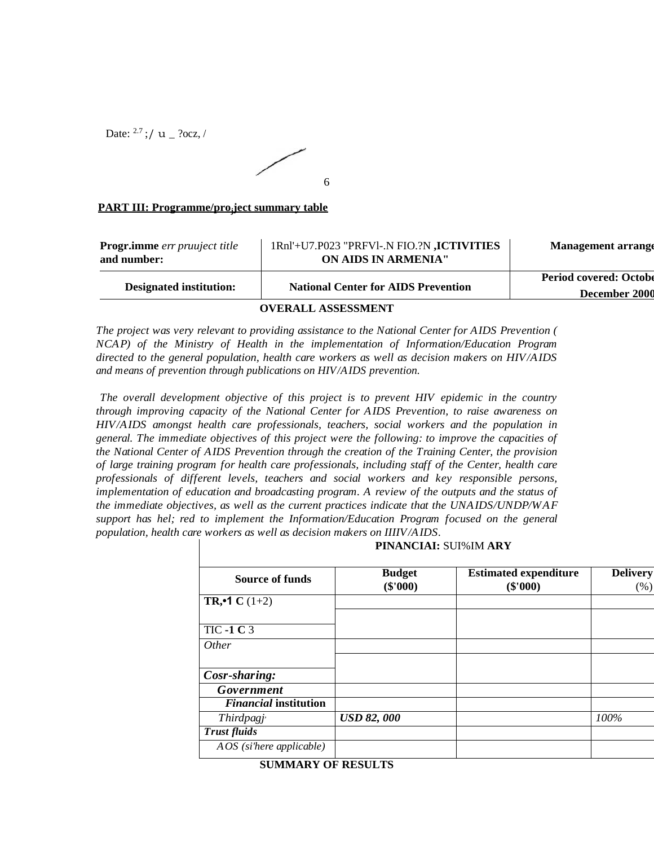Date:  $^{2.7}$ ;/ u \_ ?ocz,/



# **PART III: Programme/pro<sup>j</sup> ject summary table**

| <b>Progr.imme</b> err pruuject title<br>and number: | 1Rnl'+U7.P023 "PRFVI-.N FIO.?N ,ICTIVITIES<br>ON AIDS IN ARMENIA" | <b>Management arrange</b>                      |
|-----------------------------------------------------|-------------------------------------------------------------------|------------------------------------------------|
| <b>Designated institution:</b>                      | <b>National Center for AIDS Prevention</b>                        | <b>Period covered: Octobe</b><br>December 2000 |
|                                                     | <b>OVERALL ASSESSMENT</b>                                         |                                                |

*The project was very relevant to providing assistance to the National Center for AIDS Prevention ( NCAP) of the Ministry of Health in the implementation of Information/Education Program directed to the general population, health care workers as well as decision makers on HIV/AIDS and means of prevention through publications on HIV/AIDS prevention.*

*The overall development objective of this project is to prevent HIV epidemic in the country through improving capacity of the National Center for AIDS Prevention, to raise awareness on HIV/AIDS amongst health care professionals, teachers, social workers and the population in general. The immediate objectives of this project were the following: to improve the capacities of the National Center of AIDS Prevention through the creation of the Training Center, the provision of large training program for health care professionals, including staff of the Center, health care professionals of different levels, teachers and social workers and key responsible persons, implementation of education and broadcasting program. A review of the outputs and the status of the immediate objectives, as well as the current practices indicate that the UNAIDS/UNDP/WAF support has hel; red to implement the Information/Education Program focused on the general population, health care workers as well as decision makers on IIIIV/AIDS.*

| <b>Budget</b>     | <b>Estimated expenditure</b> | <b>Delivery</b> |  |
|-------------------|------------------------------|-----------------|--|
|                   |                              | (% )            |  |
|                   |                              |                 |  |
|                   |                              |                 |  |
|                   |                              |                 |  |
|                   |                              |                 |  |
|                   |                              |                 |  |
|                   |                              |                 |  |
|                   |                              |                 |  |
|                   |                              |                 |  |
| <b>USD 82,000</b> |                              | 100%            |  |
|                   |                              |                 |  |
|                   |                              |                 |  |
|                   | $(\$'000)$                   | $(\$'000)$      |  |

**SUMMARY OF RESULTS**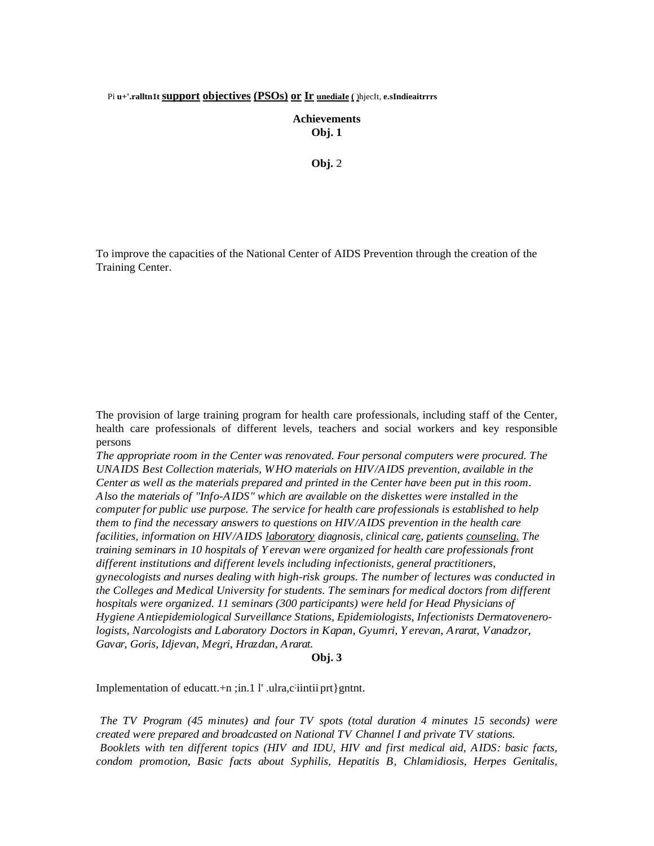#### Pi **u+'.ralltn1t support objectives (PSOs) or Ir unediaIe (** )hjecIt, **e.sIndieaitrrrs**

**Achievements Obj. 1**

**Obj.** 2

To improve the capacities of the National Center of AIDS Prevention through the creation of the Training Center.

The provision of large training program for health care professionals, including staff of the Center, health care professionals of different levels, teachers and social workers and key responsible persons

*The appropriate room in the Center was renovated. Four personal computers were procured. The UNAIDS Best Collection materials, WHO materials on HIV/AIDS prevention, available in the Center as well as the materials prepared and printed in the Center have been put in this room. Also the materials of "Info-AIDS" which are available on the diskettes were installed in the computer for public use purpose. The service for health care professionals is established to help them to find the necessary answers to questions on HIV/AIDS prevention in the health care facilities, information on HIV/AIDS laboratory diagnosis, clinical care, patients counseling. The training seminars in 10 hospitals of Yerevan were organized for health care professionals front different institutions and different levels including infectionists, general practitioners, gynecologists and nurses dealing with high-risk groups. The number of lectures was conducted in the Colleges and Medical University for students. The seminars for medical doctors from different hospitals were organized. 11 seminars (300 participants) were held for Head Physicians of Hygiene Antiepidemiological Surveillance Stations, Epidemiologists, Infectionists Dermatovenerologists, Narcologists and Laboratory Doctors in Kapan, Gyumri, Yerevan, Ararat, Vanadzor, Gavar, Goris, Idjevan, Megri, Hrazdan, Ararat.*

#### **Obj. 3**

Implementation of educatt.+n ;in.1 l' .ulra,ciintii prt}gntnt.

*The TV Program (45 minutes) and four TV spots (total duration 4 minutes 15 seconds) were created were prepared and broadcasted on National TV Channel I and private TV stations. Booklets with ten different topics (HIV and IDU, HIV and first medical aid, AIDS: basic facts, condom promotion, Basic facts about Syphilis, Hepatitis B, Chlamidiosis, Herpes Genitalis,*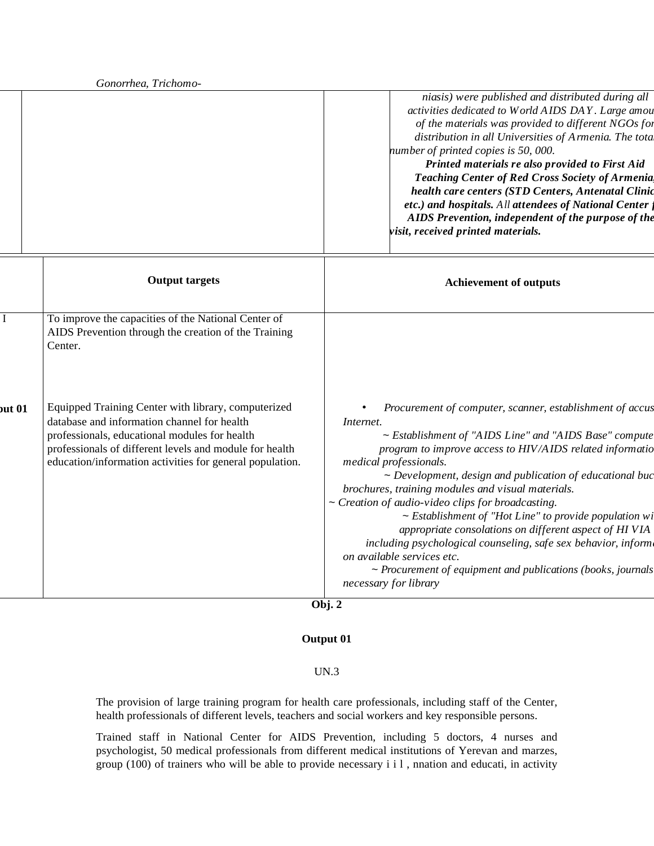| Gonorrhea, Trichomo-                                                                                                                                                                                                                                                       |                                                                                                                                                                                                                                                                                                                                                                                                                                                                                                                                                                                                                                                                                                                    |  |
|----------------------------------------------------------------------------------------------------------------------------------------------------------------------------------------------------------------------------------------------------------------------------|--------------------------------------------------------------------------------------------------------------------------------------------------------------------------------------------------------------------------------------------------------------------------------------------------------------------------------------------------------------------------------------------------------------------------------------------------------------------------------------------------------------------------------------------------------------------------------------------------------------------------------------------------------------------------------------------------------------------|--|
|                                                                                                                                                                                                                                                                            | niasis) were published and distributed during all<br>activities dedicated to World AIDS DAY. Large amou<br>of the materials was provided to different NGOs for<br>distribution in all Universities of Armenia. The tota<br>number of printed copies is 50, 000.<br>Printed materials re also provided to First Aid<br><b>Teaching Center of Red Cross Society of Armenia</b><br>health care centers (STD Centers, Antenatal Clinic<br>etc.) and hospitals. All attendees of National Center j<br>AIDS Prevention, independent of the purpose of the<br>visit, received printed materials.                                                                                                                          |  |
| <b>Output targets</b>                                                                                                                                                                                                                                                      | <b>Achievement of outputs</b>                                                                                                                                                                                                                                                                                                                                                                                                                                                                                                                                                                                                                                                                                      |  |
| To improve the capacities of the National Center of<br>AIDS Prevention through the creation of the Training<br>Center.                                                                                                                                                     |                                                                                                                                                                                                                                                                                                                                                                                                                                                                                                                                                                                                                                                                                                                    |  |
| Equipped Training Center with library, computerized<br>database and information channel for health<br>professionals, educational modules for health<br>professionals of different levels and module for health<br>education/information activities for general population. | Procurement of computer, scanner, establishment of accus<br>Internet.<br>~ Establishment of "AIDS Line" and "AIDS Base" compute<br>program to improve access to HIV/AIDS related informatio<br>medical professionals.<br>~ Development, design and publication of educational buc<br>brochures, training modules and visual materials.<br>~ Creation of audio-video clips for broadcasting.<br>$\sim$ Establishment of "Hot Line" to provide population wi<br>appropriate consolations on different aspect of HI VIA<br>including psychological counseling, safe sex behavior, inform.<br>on available services etc.<br>$\sim$ Procurement of equipment and publications (books, journals<br>necessary for library |  |
|                                                                                                                                                                                                                                                                            |                                                                                                                                                                                                                                                                                                                                                                                                                                                                                                                                                                                                                                                                                                                    |  |

### **Obj. 2**

## **Output 01**

### UN.3

The provision of large training program for health care professionals, including staff of the Center, health professionals of different levels, teachers and social workers and key responsible persons.

Trained staff in National Center for AIDS Prevention, including 5 doctors, 4 nurses and psychologist, 50 medical professionals from different medical institutions of Yerevan and marzes, group (100) of trainers who will be able to provide necessary i i l , nnation and educati, in activity